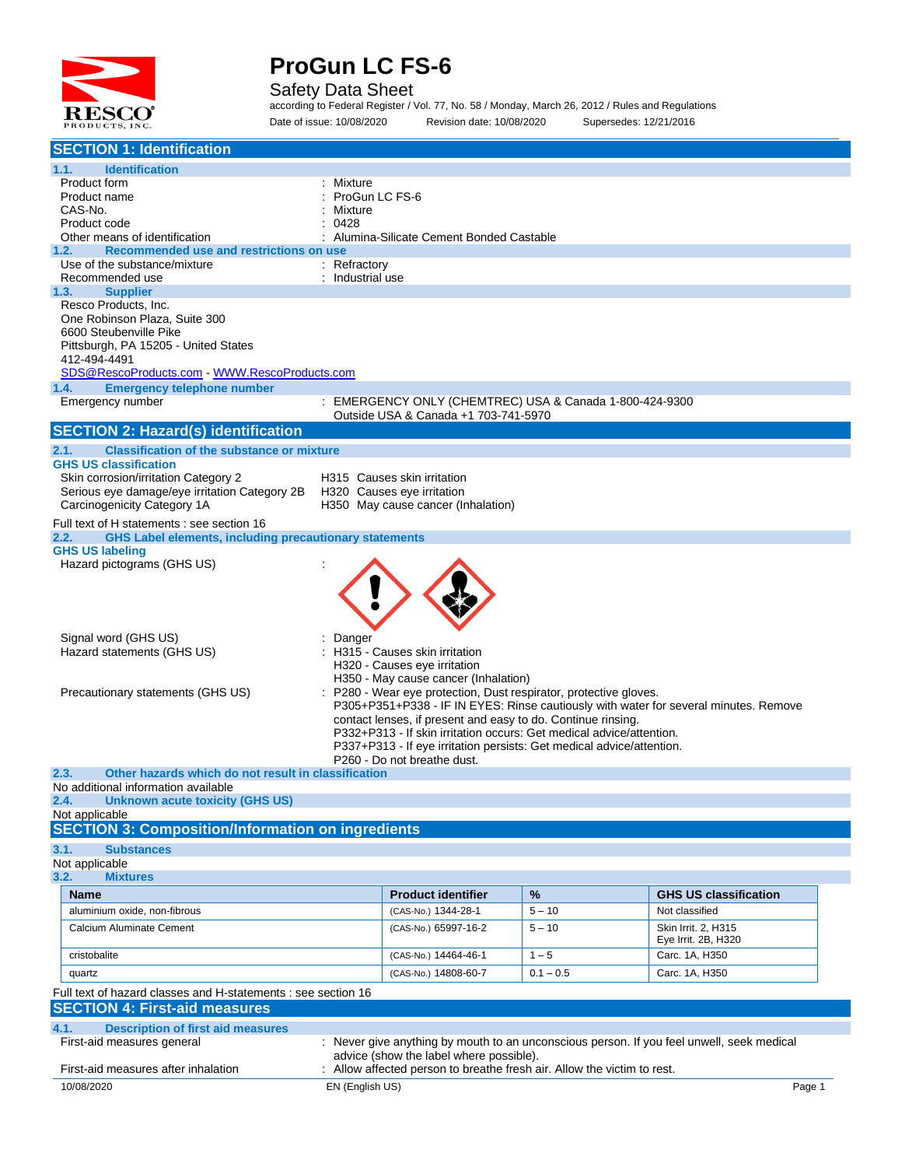

Safety Data Sheet

according to Federal Register / Vol. 77, No. 58 / Monday, March 26, 2012 / Rules and Regulations Date of issue: 10/08/2020 Revision date: 10/08/2020 Supersedes: 12/21/2016

| <b>SECTION 1: Identification</b>                                                      |                                                                                           |             |                                                                                      |  |  |  |
|---------------------------------------------------------------------------------------|-------------------------------------------------------------------------------------------|-------------|--------------------------------------------------------------------------------------|--|--|--|
| 1.1.<br><b>Identification</b>                                                         |                                                                                           |             |                                                                                      |  |  |  |
| Product form                                                                          | Mixture                                                                                   |             |                                                                                      |  |  |  |
| Product name                                                                          | ProGun LC FS-6                                                                            |             |                                                                                      |  |  |  |
| CAS-No.                                                                               | Mixture                                                                                   |             |                                                                                      |  |  |  |
| Product code                                                                          | 0428                                                                                      |             |                                                                                      |  |  |  |
| Other means of identification                                                         | Alumina-Silicate Cement Bonded Castable                                                   |             |                                                                                      |  |  |  |
| Recommended use and restrictions on use<br>1.2.<br>Use of the substance/mixture       |                                                                                           |             |                                                                                      |  |  |  |
| Recommended use                                                                       | : Refractory<br>Industrial use                                                            |             |                                                                                      |  |  |  |
| <b>Supplier</b><br>1.3.                                                               |                                                                                           |             |                                                                                      |  |  |  |
| Resco Products, Inc.                                                                  |                                                                                           |             |                                                                                      |  |  |  |
| One Robinson Plaza, Suite 300                                                         |                                                                                           |             |                                                                                      |  |  |  |
| 6600 Steubenville Pike                                                                |                                                                                           |             |                                                                                      |  |  |  |
| Pittsburgh, PA 15205 - United States                                                  |                                                                                           |             |                                                                                      |  |  |  |
| 412-494-4491                                                                          |                                                                                           |             |                                                                                      |  |  |  |
| SDS@RescoProducts.com WWW.RescoProducts.com                                           |                                                                                           |             |                                                                                      |  |  |  |
| 1.4.<br><b>Emergency telephone number</b>                                             |                                                                                           |             |                                                                                      |  |  |  |
| Emergency number                                                                      | : EMERGENCY ONLY (CHEMTREC) USA & Canada 1-800-424-9300                                   |             |                                                                                      |  |  |  |
|                                                                                       | Outside USA & Canada +1 703-741-5970                                                      |             |                                                                                      |  |  |  |
| <b>SECTION 2: Hazard(s) identification</b>                                            |                                                                                           |             |                                                                                      |  |  |  |
| 2.1.<br><b>Classification of the substance or mixture</b>                             |                                                                                           |             |                                                                                      |  |  |  |
| <b>GHS US classification</b>                                                          |                                                                                           |             |                                                                                      |  |  |  |
| Skin corrosion/irritation Category 2<br>Serious eye damage/eye irritation Category 2B | H315 Causes skin irritation<br>H320 Causes eye irritation                                 |             |                                                                                      |  |  |  |
| Carcinogenicity Category 1A                                                           | H350 May cause cancer (Inhalation)                                                        |             |                                                                                      |  |  |  |
| Full text of H statements : see section 16                                            |                                                                                           |             |                                                                                      |  |  |  |
| <b>GHS Label elements, including precautionary statements</b><br>2.2.                 |                                                                                           |             |                                                                                      |  |  |  |
| <b>GHS US labeling</b>                                                                |                                                                                           |             |                                                                                      |  |  |  |
| Hazard pictograms (GHS US)                                                            |                                                                                           |             |                                                                                      |  |  |  |
|                                                                                       |                                                                                           |             |                                                                                      |  |  |  |
|                                                                                       |                                                                                           |             |                                                                                      |  |  |  |
|                                                                                       |                                                                                           |             |                                                                                      |  |  |  |
|                                                                                       |                                                                                           |             |                                                                                      |  |  |  |
| Signal word (GHS US)                                                                  | Danger                                                                                    |             |                                                                                      |  |  |  |
| Hazard statements (GHS US)                                                            | : H315 - Causes skin irritation                                                           |             |                                                                                      |  |  |  |
|                                                                                       | H320 - Causes eye irritation                                                              |             |                                                                                      |  |  |  |
|                                                                                       | H350 - May cause cancer (Inhalation)                                                      |             |                                                                                      |  |  |  |
| Precautionary statements (GHS US)                                                     | P280 - Wear eye protection, Dust respirator, protective gloves.                           |             |                                                                                      |  |  |  |
|                                                                                       | contact lenses, if present and easy to do. Continue rinsing.                              |             | P305+P351+P338 - IF IN EYES: Rinse cautiously with water for several minutes. Remove |  |  |  |
|                                                                                       | P332+P313 - If skin irritation occurs: Get medical advice/attention.                      |             |                                                                                      |  |  |  |
|                                                                                       | P337+P313 - If eye irritation persists: Get medical advice/attention.                     |             |                                                                                      |  |  |  |
|                                                                                       | P260 - Do not breathe dust.                                                               |             |                                                                                      |  |  |  |
| 2.3.<br>Other hazards which do not result in classification                           |                                                                                           |             |                                                                                      |  |  |  |
| No additional information available                                                   |                                                                                           |             |                                                                                      |  |  |  |
| <b>Unknown acute toxicity (GHS US)</b><br>2.4.                                        |                                                                                           |             |                                                                                      |  |  |  |
| Not applicable<br><b>SECTION 3: Composition/Information on ingredients</b>            |                                                                                           |             |                                                                                      |  |  |  |
|                                                                                       |                                                                                           |             |                                                                                      |  |  |  |
| 3.1.<br><b>Substances</b>                                                             |                                                                                           |             |                                                                                      |  |  |  |
| Not applicable<br>3.2.<br><b>Mixtures</b>                                             |                                                                                           |             |                                                                                      |  |  |  |
|                                                                                       |                                                                                           |             |                                                                                      |  |  |  |
| <b>Name</b>                                                                           | <b>Product identifier</b>                                                                 | %           | <b>GHS US classification</b>                                                         |  |  |  |
| aluminium oxide, non-fibrous                                                          | (CAS-No.) 1344-28-1                                                                       | $5 - 10$    | Not classified                                                                       |  |  |  |
| Calcium Aluminate Cement                                                              | (CAS-No.) 65997-16-2                                                                      | $5 - 10$    | Skin Irrit. 2, H315<br>Eye Irrit. 2B, H320                                           |  |  |  |
|                                                                                       |                                                                                           | $1 - 5$     |                                                                                      |  |  |  |
| cristobalite                                                                          | (CAS-No.) 14464-46-1                                                                      |             | Carc. 1A, H350                                                                       |  |  |  |
| quartz                                                                                | (CAS-No.) 14808-60-7                                                                      | $0.1 - 0.5$ | Carc. 1A, H350                                                                       |  |  |  |
| Full text of hazard classes and H-statements : see section 16                         |                                                                                           |             |                                                                                      |  |  |  |
| <b>SECTION 4: First-aid measures</b>                                                  |                                                                                           |             |                                                                                      |  |  |  |
| 4.1.<br><b>Description of first aid measures</b>                                      |                                                                                           |             |                                                                                      |  |  |  |
| First-aid measures general                                                            | : Never give anything by mouth to an unconscious person. If you feel unwell, seek medical |             |                                                                                      |  |  |  |
|                                                                                       | advice (show the label where possible).                                                   |             |                                                                                      |  |  |  |
| First-aid measures after inhalation                                                   | Allow affected person to breathe fresh air. Allow the victim to rest.                     |             |                                                                                      |  |  |  |
| 10/08/2020                                                                            | EN (English US)                                                                           |             | Page 1                                                                               |  |  |  |
|                                                                                       |                                                                                           |             |                                                                                      |  |  |  |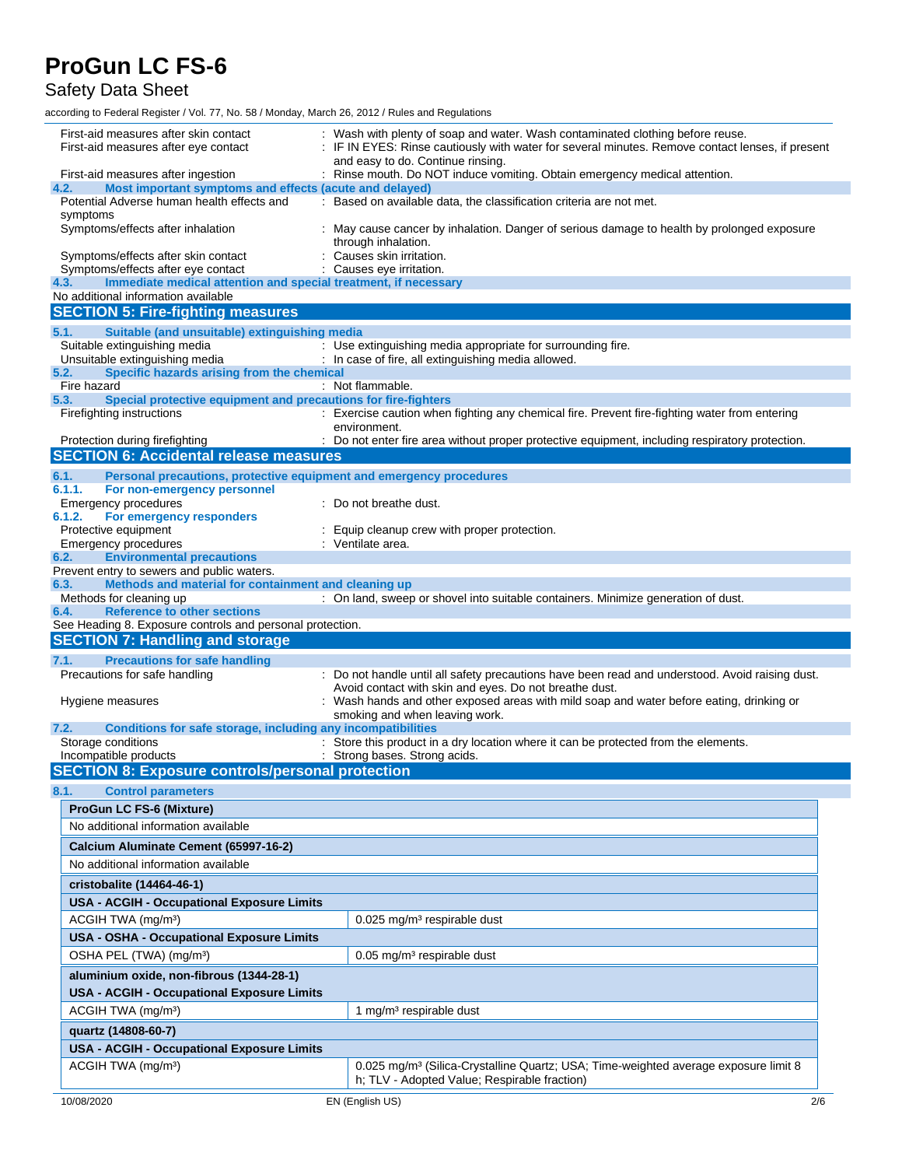Safety Data Sheet

| First-aid measures after skin contact<br>First-aid measures after eye contact                                                                                    | : Wash with plenty of soap and water. Wash contaminated clothing before reuse.<br>: IF IN EYES: Rinse cautiously with water for several minutes. Remove contact lenses, if present<br>and easy to do. Continue rinsing. |  |  |
|------------------------------------------------------------------------------------------------------------------------------------------------------------------|-------------------------------------------------------------------------------------------------------------------------------------------------------------------------------------------------------------------------|--|--|
| First-aid measures after ingestion                                                                                                                               | : Rinse mouth. Do NOT induce vomiting. Obtain emergency medical attention.                                                                                                                                              |  |  |
| Most important symptoms and effects (acute and delayed)<br>4.2.                                                                                                  |                                                                                                                                                                                                                         |  |  |
| Potential Adverse human health effects and                                                                                                                       | : Based on available data, the classification criteria are not met.                                                                                                                                                     |  |  |
| symptoms<br>Symptoms/effects after inhalation<br>May cause cancer by inhalation. Danger of serious damage to health by prolonged exposure<br>through inhalation. |                                                                                                                                                                                                                         |  |  |
| Symptoms/effects after skin contact                                                                                                                              | Causes skin irritation.                                                                                                                                                                                                 |  |  |
| Symptoms/effects after eye contact<br>4.3.<br>Immediate medical attention and special treatment, if necessary                                                    | Causes eye irritation.                                                                                                                                                                                                  |  |  |
| No additional information available                                                                                                                              |                                                                                                                                                                                                                         |  |  |
| <b>SECTION 5: Fire-fighting measures</b>                                                                                                                         |                                                                                                                                                                                                                         |  |  |
| Suitable (and unsuitable) extinguishing media<br>5.1.                                                                                                            |                                                                                                                                                                                                                         |  |  |
| Suitable extinguishing media                                                                                                                                     | : Use extinguishing media appropriate for surrounding fire.                                                                                                                                                             |  |  |
| Unsuitable extinguishing media<br>Specific hazards arising from the chemical<br>5.2.                                                                             | : In case of fire, all extinguishing media allowed.                                                                                                                                                                     |  |  |
| Fire hazard                                                                                                                                                      | : Not flammable.                                                                                                                                                                                                        |  |  |
| Special protective equipment and precautions for fire-fighters<br>5.3.                                                                                           |                                                                                                                                                                                                                         |  |  |
| Firefighting instructions                                                                                                                                        | : Exercise caution when fighting any chemical fire. Prevent fire-fighting water from entering<br>environment.                                                                                                           |  |  |
| Protection during firefighting<br><b>SECTION 6: Accidental release measures</b>                                                                                  | : Do not enter fire area without proper protective equipment, including respiratory protection.                                                                                                                         |  |  |
|                                                                                                                                                                  |                                                                                                                                                                                                                         |  |  |
| 6.1.<br>Personal precautions, protective equipment and emergency procedures<br>6.1.1.<br>For non-emergency personnel                                             |                                                                                                                                                                                                                         |  |  |
| Emergency procedures                                                                                                                                             | Do not breathe dust.                                                                                                                                                                                                    |  |  |
| 6.1.2.<br>For emergency responders                                                                                                                               |                                                                                                                                                                                                                         |  |  |
| Protective equipment                                                                                                                                             | Equip cleanup crew with proper protection.                                                                                                                                                                              |  |  |
| <b>Emergency procedures</b><br>6.2.<br><b>Environmental precautions</b>                                                                                          | : Ventilate area.                                                                                                                                                                                                       |  |  |
| Prevent entry to sewers and public waters.                                                                                                                       |                                                                                                                                                                                                                         |  |  |
| Methods and material for containment and cleaning up<br>6.3.                                                                                                     |                                                                                                                                                                                                                         |  |  |
| Methods for cleaning up<br><b>Reference to other sections</b><br>6.4.                                                                                            | : On land, sweep or shovel into suitable containers. Minimize generation of dust.                                                                                                                                       |  |  |
|                                                                                                                                                                  |                                                                                                                                                                                                                         |  |  |
|                                                                                                                                                                  |                                                                                                                                                                                                                         |  |  |
| See Heading 8. Exposure controls and personal protection.<br><b>SECTION 7: Handling and storage</b>                                                              |                                                                                                                                                                                                                         |  |  |
| <b>Precautions for safe handling</b><br>7.1.                                                                                                                     |                                                                                                                                                                                                                         |  |  |
| Precautions for safe handling                                                                                                                                    | : Do not handle until all safety precautions have been read and understood. Avoid raising dust.                                                                                                                         |  |  |
|                                                                                                                                                                  | Avoid contact with skin and eyes. Do not breathe dust.                                                                                                                                                                  |  |  |
| Hygiene measures                                                                                                                                                 | Wash hands and other exposed areas with mild soap and water before eating, drinking or                                                                                                                                  |  |  |
| 7.2.                                                                                                                                                             | smoking and when leaving work.                                                                                                                                                                                          |  |  |
| Conditions for safe storage, including any incompatibilities<br>Storage conditions                                                                               | : Store this product in a dry location where it can be protected from the elements.                                                                                                                                     |  |  |
| Incompatible products                                                                                                                                            | : Strong bases. Strong acids.                                                                                                                                                                                           |  |  |
| <b>SECTION 8: Exposure controls/personal protection</b>                                                                                                          |                                                                                                                                                                                                                         |  |  |
| 8.1.<br><b>Control parameters</b>                                                                                                                                |                                                                                                                                                                                                                         |  |  |
| <b>ProGun LC FS-6 (Mixture)</b>                                                                                                                                  |                                                                                                                                                                                                                         |  |  |
| No additional information available                                                                                                                              |                                                                                                                                                                                                                         |  |  |
| Calcium Aluminate Cement (65997-16-2)                                                                                                                            |                                                                                                                                                                                                                         |  |  |
| No additional information available                                                                                                                              |                                                                                                                                                                                                                         |  |  |
| cristobalite (14464-46-1)                                                                                                                                        |                                                                                                                                                                                                                         |  |  |
| <b>USA - ACGIH - Occupational Exposure Limits</b>                                                                                                                |                                                                                                                                                                                                                         |  |  |
| ACGIH TWA (mg/m <sup>3</sup> )                                                                                                                                   | $0.025$ mg/m <sup>3</sup> respirable dust                                                                                                                                                                               |  |  |
|                                                                                                                                                                  |                                                                                                                                                                                                                         |  |  |
| USA - OSHA - Occupational Exposure Limits                                                                                                                        | 0.05 mg/m <sup>3</sup> respirable dust                                                                                                                                                                                  |  |  |
| OSHA PEL (TWA) (mg/m <sup>3</sup> )                                                                                                                              |                                                                                                                                                                                                                         |  |  |
| aluminium oxide, non-fibrous (1344-28-1)                                                                                                                         |                                                                                                                                                                                                                         |  |  |
| <b>USA - ACGIH - Occupational Exposure Limits</b>                                                                                                                |                                                                                                                                                                                                                         |  |  |
| ACGIH TWA (mg/m <sup>3</sup> )                                                                                                                                   | 1 mg/m <sup>3</sup> respirable dust                                                                                                                                                                                     |  |  |
| quartz (14808-60-7)                                                                                                                                              |                                                                                                                                                                                                                         |  |  |
| <b>USA - ACGIH - Occupational Exposure Limits</b>                                                                                                                |                                                                                                                                                                                                                         |  |  |
| ACGIH TWA (mg/m <sup>3</sup> )                                                                                                                                   | 0.025 mg/m <sup>3</sup> (Silica-Crystalline Quartz; USA; Time-weighted average exposure limit 8<br>h; TLV - Adopted Value; Respirable fraction)                                                                         |  |  |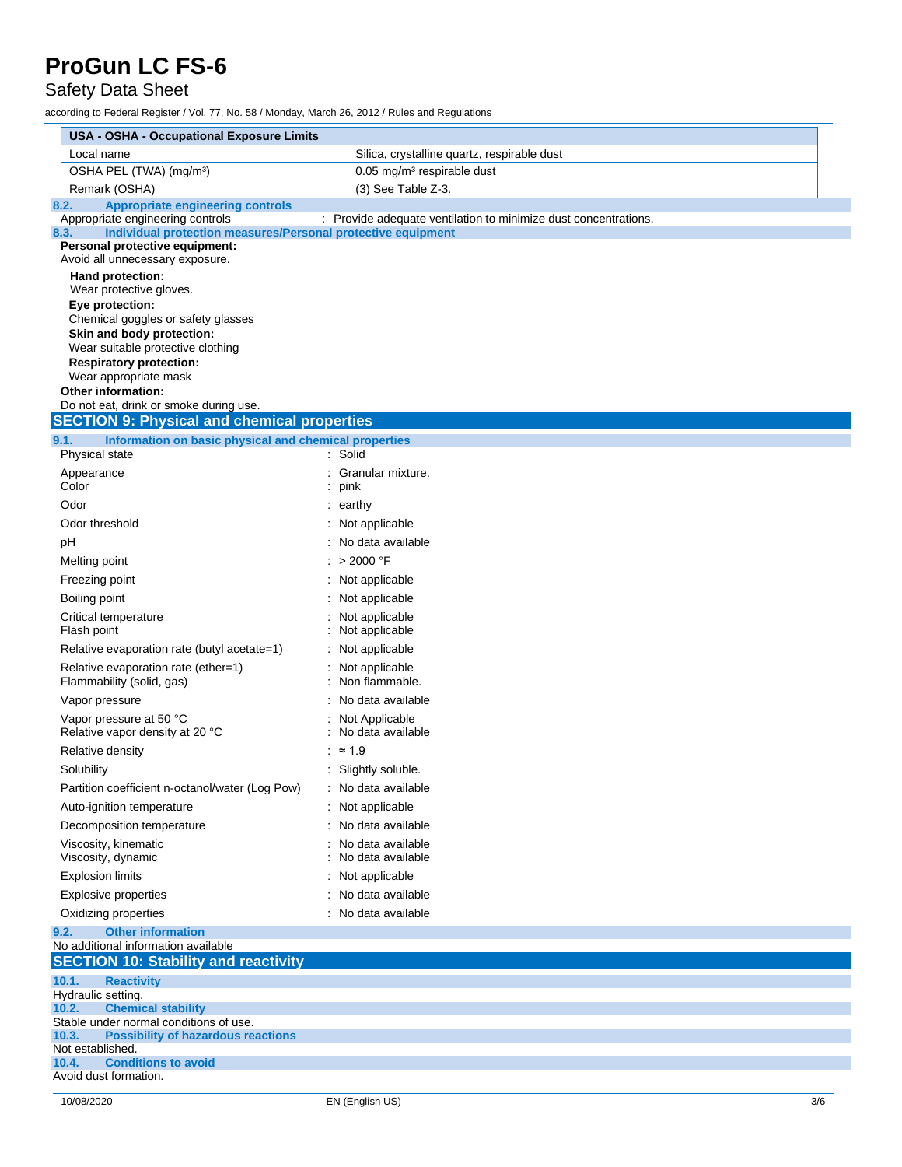Safety Data Sheet

|       | <b>USA - OSHA - Occupational Exposure Limits</b>                                                 |                                                                 |     |  |  |  |
|-------|--------------------------------------------------------------------------------------------------|-----------------------------------------------------------------|-----|--|--|--|
|       | Local name                                                                                       | Silica, crystalline quartz, respirable dust                     |     |  |  |  |
|       | OSHA PEL (TWA) (mg/m <sup>3</sup> )                                                              | 0.05 mg/m <sup>3</sup> respirable dust                          |     |  |  |  |
|       | Remark (OSHA)                                                                                    | (3) See Table Z-3.                                              |     |  |  |  |
| 8.2.  | <b>Appropriate engineering controls</b>                                                          |                                                                 |     |  |  |  |
| 8.3.  | Appropriate engineering controls<br>Individual protection measures/Personal protective equipment | : Provide adequate ventilation to minimize dust concentrations. |     |  |  |  |
|       | Personal protective equipment:                                                                   |                                                                 |     |  |  |  |
|       | Avoid all unnecessary exposure.                                                                  |                                                                 |     |  |  |  |
|       | Hand protection:<br>Wear protective gloves.                                                      |                                                                 |     |  |  |  |
|       | Eye protection:                                                                                  |                                                                 |     |  |  |  |
|       | Chemical goggles or safety glasses                                                               |                                                                 |     |  |  |  |
|       | Skin and body protection:<br>Wear suitable protective clothing                                   |                                                                 |     |  |  |  |
|       | <b>Respiratory protection:</b>                                                                   |                                                                 |     |  |  |  |
|       | Wear appropriate mask                                                                            |                                                                 |     |  |  |  |
|       | <b>Other information:</b><br>Do not eat, drink or smoke during use.                              |                                                                 |     |  |  |  |
|       | <b>SECTION 9: Physical and chemical properties</b>                                               |                                                                 |     |  |  |  |
| 9.1.  | Information on basic physical and chemical properties                                            |                                                                 |     |  |  |  |
|       | Physical state                                                                                   | : Solid                                                         |     |  |  |  |
|       | Appearance<br>Color                                                                              | : Granular mixture.<br>pink                                     |     |  |  |  |
|       | Odor                                                                                             | : earthy                                                        |     |  |  |  |
|       | Odor threshold                                                                                   | : Not applicable                                                |     |  |  |  |
|       | рH                                                                                               | : No data available                                             |     |  |  |  |
|       | Melting point                                                                                    | : > 2000 °F                                                     |     |  |  |  |
|       | Freezing point                                                                                   | : Not applicable                                                |     |  |  |  |
|       | Boiling point                                                                                    | : Not applicable                                                |     |  |  |  |
|       | Critical temperature<br>Flash point                                                              | Not applicable<br>Not applicable                                |     |  |  |  |
|       | Relative evaporation rate (butyl acetate=1)                                                      | : Not applicable                                                |     |  |  |  |
|       | Relative evaporation rate (ether=1)                                                              | : Not applicable                                                |     |  |  |  |
|       | Flammability (solid, gas)                                                                        | Non flammable.                                                  |     |  |  |  |
|       | Vapor pressure                                                                                   | No data available                                               |     |  |  |  |
|       | Vapor pressure at 50 °C<br>Relative vapor density at 20 °C                                       | : Not Applicable<br>: No data available                         |     |  |  |  |
|       | Relative density                                                                                 | : $\approx 1.9$                                                 |     |  |  |  |
|       | Solubility                                                                                       | : Slightly soluble.                                             |     |  |  |  |
|       | Partition coefficient n-octanol/water (Log Pow)                                                  | No data available                                               |     |  |  |  |
|       | Auto-ignition temperature                                                                        | : Not applicable                                                |     |  |  |  |
|       | Decomposition temperature                                                                        | : No data available                                             |     |  |  |  |
|       | Viscosity, kinematic<br>Viscosity, dynamic                                                       | : No data available<br>No data available                        |     |  |  |  |
|       | <b>Explosion limits</b>                                                                          | Not applicable                                                  |     |  |  |  |
|       | <b>Explosive properties</b>                                                                      | No data available                                               |     |  |  |  |
|       | Oxidizing properties                                                                             | : No data available                                             |     |  |  |  |
| 9.2.  | <b>Other information</b><br>No additional information available                                  |                                                                 |     |  |  |  |
|       | <b>SECTION 10: Stability and reactivity</b>                                                      |                                                                 |     |  |  |  |
| 10.1. | <b>Reactivity</b>                                                                                |                                                                 |     |  |  |  |
|       | Hydraulic setting.                                                                               |                                                                 |     |  |  |  |
| 10.2. | <b>Chemical stability</b><br>Stable under normal conditions of use.                              |                                                                 |     |  |  |  |
| 10.3. | <b>Possibility of hazardous reactions</b>                                                        |                                                                 |     |  |  |  |
|       | Not established.                                                                                 |                                                                 |     |  |  |  |
| 10.4. | <b>Conditions to avoid</b><br>Avoid dust formation.                                              |                                                                 |     |  |  |  |
|       |                                                                                                  |                                                                 |     |  |  |  |
|       | 10/08/2020                                                                                       | EN (English US)                                                 | 3/6 |  |  |  |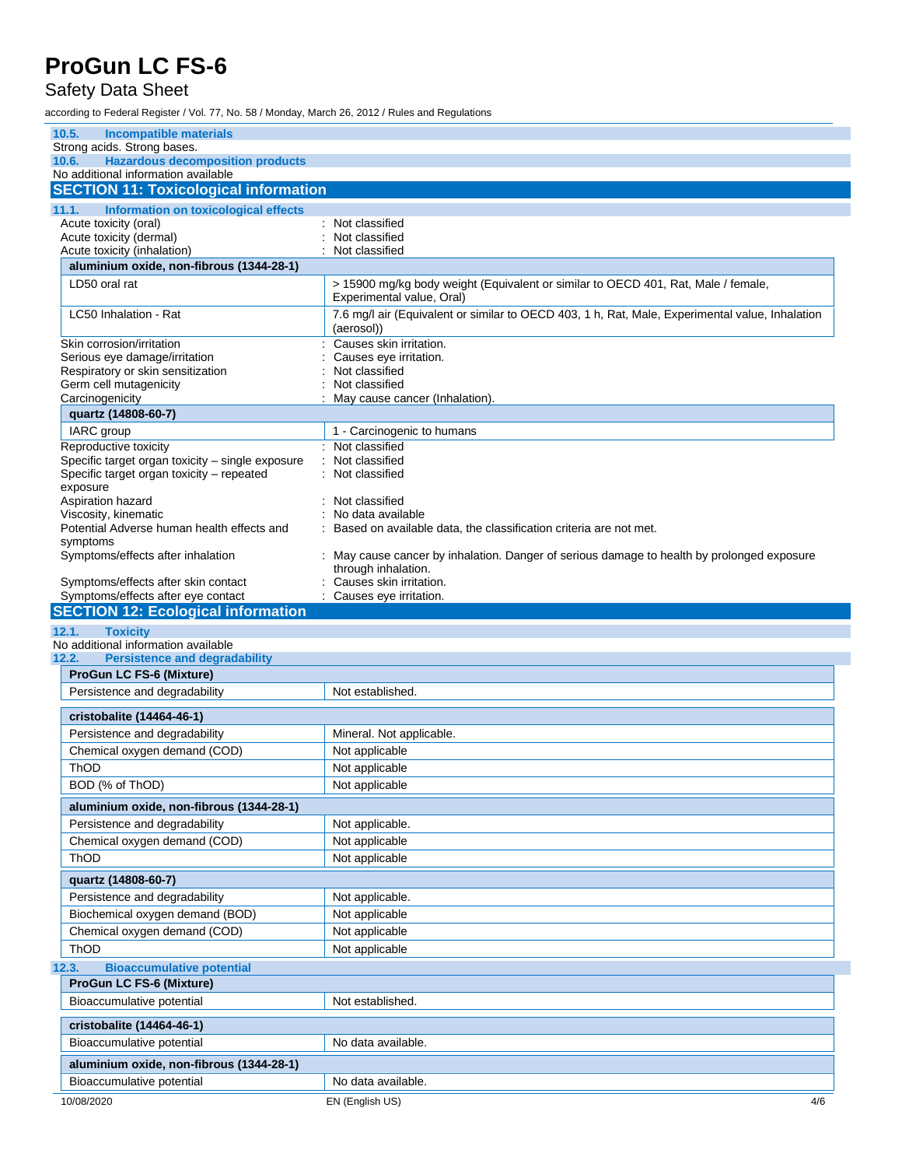Safety Data Sheet

| 10.5.<br><b>Incompatible materials</b>                                                                    |                                                                                                                   |
|-----------------------------------------------------------------------------------------------------------|-------------------------------------------------------------------------------------------------------------------|
| Strong acids. Strong bases.                                                                               |                                                                                                                   |
| <b>Hazardous decomposition products</b><br>10.6.<br>No additional information available                   |                                                                                                                   |
| <b>SECTION 11: Toxicological information</b>                                                              |                                                                                                                   |
|                                                                                                           |                                                                                                                   |
| 11.1.<br>Information on toxicological effects<br>Acute toxicity (oral)                                    | Not classified                                                                                                    |
| Acute toxicity (dermal)                                                                                   | Not classified                                                                                                    |
| Acute toxicity (inhalation)                                                                               | Not classified                                                                                                    |
| aluminium oxide, non-fibrous (1344-28-1)                                                                  |                                                                                                                   |
| LD50 oral rat                                                                                             | > 15900 mg/kg body weight (Equivalent or similar to OECD 401, Rat, Male / female,<br>Experimental value, Oral)    |
| LC50 Inhalation - Rat                                                                                     | 7.6 mg/l air (Equivalent or similar to OECD 403, 1 h, Rat, Male, Experimental value, Inhalation<br>(aerosol))     |
| Skin corrosion/irritation                                                                                 | Causes skin irritation.                                                                                           |
| Serious eye damage/irritation                                                                             | Causes eye irritation.                                                                                            |
| Respiratory or skin sensitization<br>Germ cell mutagenicity                                               | Not classified<br>Not classified                                                                                  |
| Carcinogenicity                                                                                           | May cause cancer (Inhalation).                                                                                    |
| quartz (14808-60-7)                                                                                       |                                                                                                                   |
| IARC group                                                                                                | 1 - Carcinogenic to humans                                                                                        |
| Reproductive toxicity                                                                                     | : Not classified                                                                                                  |
| Specific target organ toxicity - single exposure<br>Specific target organ toxicity - repeated<br>exposure | Not classified<br>Not classified                                                                                  |
| Aspiration hazard                                                                                         | Not classified                                                                                                    |
| Viscosity, kinematic                                                                                      | No data available                                                                                                 |
| Potential Adverse human health effects and                                                                | Based on available data, the classification criteria are not met.                                                 |
| symptoms<br>Symptoms/effects after inhalation                                                             | : May cause cancer by inhalation. Danger of serious damage to health by prolonged exposure<br>through inhalation. |
| Symptoms/effects after skin contact                                                                       | Causes skin irritation.                                                                                           |
| Symptoms/effects after eye contact                                                                        | Causes eye irritation.                                                                                            |
| <b>SECTION 12: Ecological information</b>                                                                 |                                                                                                                   |
|                                                                                                           |                                                                                                                   |
| 12.1.<br><b>Toxicity</b>                                                                                  |                                                                                                                   |
| No additional information available                                                                       |                                                                                                                   |
| 12.2.<br><b>Persistence and degradability</b>                                                             |                                                                                                                   |
| <b>ProGun LC FS-6 (Mixture)</b>                                                                           |                                                                                                                   |
| Persistence and degradability                                                                             | Not established.                                                                                                  |
| cristobalite (14464-46-1)                                                                                 |                                                                                                                   |
| Persistence and degradability                                                                             | Mineral. Not applicable.                                                                                          |
| Chemical oxygen demand (COD)                                                                              | Not applicable                                                                                                    |
| ThOD                                                                                                      | Not applicable                                                                                                    |
| BOD (% of ThOD)                                                                                           | Not applicable                                                                                                    |
| aluminium oxide, non-fibrous (1344-28-1)                                                                  |                                                                                                                   |
| Persistence and degradability                                                                             | Not applicable.                                                                                                   |
| Chemical oxygen demand (COD)                                                                              | Not applicable                                                                                                    |
| ThOD                                                                                                      | Not applicable                                                                                                    |
| quartz (14808-60-7)                                                                                       |                                                                                                                   |
| Persistence and degradability                                                                             | Not applicable.                                                                                                   |
| Biochemical oxygen demand (BOD)                                                                           | Not applicable                                                                                                    |
| Chemical oxygen demand (COD)                                                                              | Not applicable                                                                                                    |
| ThOD                                                                                                      | Not applicable                                                                                                    |
| <b>Bioaccumulative potential</b>                                                                          |                                                                                                                   |
| <b>ProGun LC FS-6 (Mixture)</b>                                                                           |                                                                                                                   |
| Bioaccumulative potential                                                                                 | Not established.                                                                                                  |
| cristobalite (14464-46-1)                                                                                 |                                                                                                                   |
| Bioaccumulative potential                                                                                 | No data available.                                                                                                |
| 12.3.<br>aluminium oxide, non-fibrous (1344-28-1)                                                         |                                                                                                                   |
| Bioaccumulative potential                                                                                 | No data available.                                                                                                |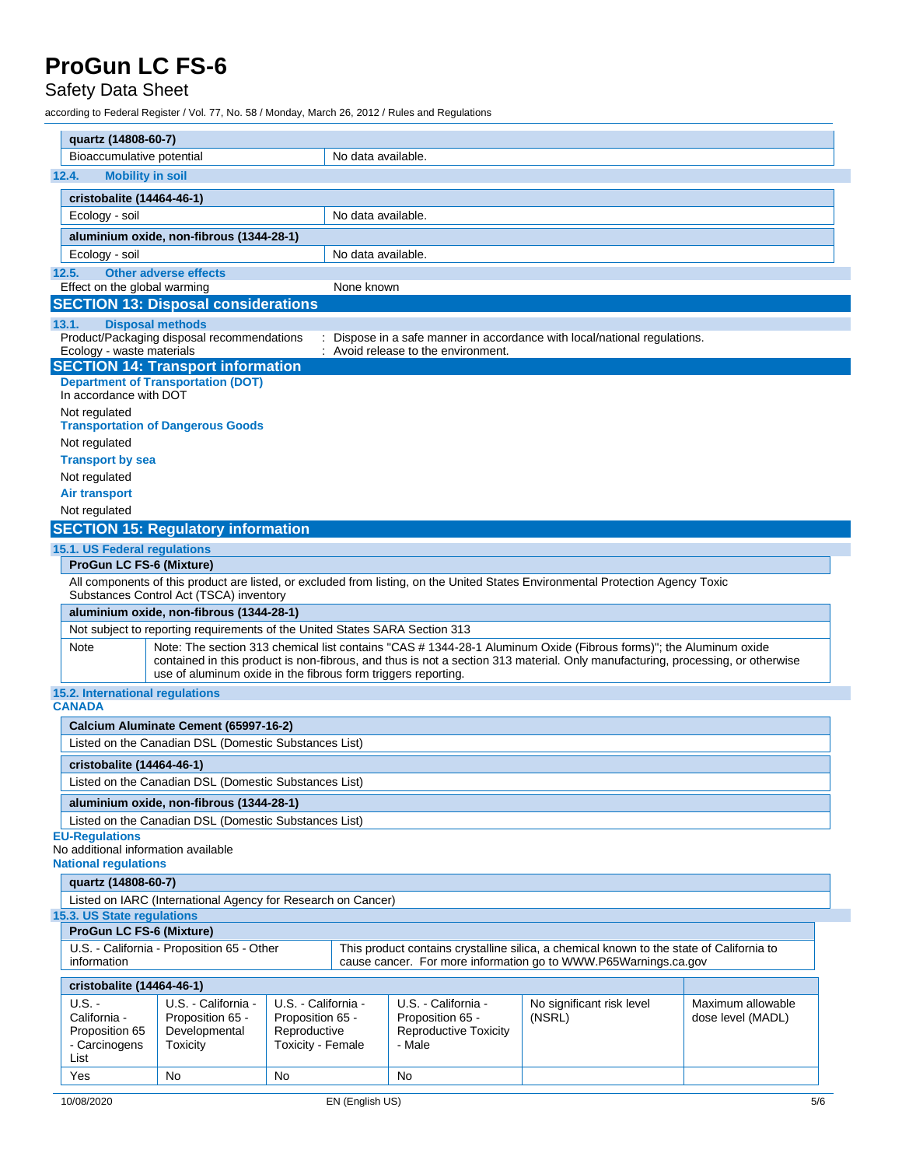#### Safety Data Sheet

| quartz (14808-60-7)                                                                                                                                                                                                      |                                                                                                                   |                     |                    |                                     |                                                                                                                                 |                   |  |
|--------------------------------------------------------------------------------------------------------------------------------------------------------------------------------------------------------------------------|-------------------------------------------------------------------------------------------------------------------|---------------------|--------------------|-------------------------------------|---------------------------------------------------------------------------------------------------------------------------------|-------------------|--|
| Bioaccumulative potential                                                                                                                                                                                                |                                                                                                                   |                     | No data available. |                                     |                                                                                                                                 |                   |  |
| <b>Mobility in soil</b><br>12.4.                                                                                                                                                                                         |                                                                                                                   |                     |                    |                                     |                                                                                                                                 |                   |  |
| cristobalite (14464-46-1)                                                                                                                                                                                                |                                                                                                                   |                     |                    |                                     |                                                                                                                                 |                   |  |
| Ecology - soil                                                                                                                                                                                                           |                                                                                                                   |                     | No data available. |                                     |                                                                                                                                 |                   |  |
| aluminium oxide, non-fibrous (1344-28-1)                                                                                                                                                                                 |                                                                                                                   |                     |                    |                                     |                                                                                                                                 |                   |  |
| Ecology - soil                                                                                                                                                                                                           |                                                                                                                   |                     | No data available. |                                     |                                                                                                                                 |                   |  |
| 12.5.<br><b>Other adverse effects</b>                                                                                                                                                                                    |                                                                                                                   |                     |                    |                                     |                                                                                                                                 |                   |  |
| Effect on the global warming                                                                                                                                                                                             |                                                                                                                   |                     | None known         |                                     |                                                                                                                                 |                   |  |
| <b>SECTION 13: Disposal considerations</b>                                                                                                                                                                               |                                                                                                                   |                     |                    |                                     |                                                                                                                                 |                   |  |
| <b>Disposal methods</b><br>13.1.                                                                                                                                                                                         |                                                                                                                   |                     |                    |                                     |                                                                                                                                 |                   |  |
| Product/Packaging disposal recommendations                                                                                                                                                                               |                                                                                                                   |                     |                    |                                     | Dispose in a safe manner in accordance with local/national regulations.                                                         |                   |  |
| Ecology - waste materials                                                                                                                                                                                                |                                                                                                                   |                     |                    | : Avoid release to the environment. |                                                                                                                                 |                   |  |
| <b>SECTION 14: Transport information</b><br><b>Department of Transportation (DOT)</b>                                                                                                                                    |                                                                                                                   |                     |                    |                                     |                                                                                                                                 |                   |  |
| In accordance with DOT                                                                                                                                                                                                   |                                                                                                                   |                     |                    |                                     |                                                                                                                                 |                   |  |
| Not regulated                                                                                                                                                                                                            |                                                                                                                   |                     |                    |                                     |                                                                                                                                 |                   |  |
| <b>Transportation of Dangerous Goods</b>                                                                                                                                                                                 |                                                                                                                   |                     |                    |                                     |                                                                                                                                 |                   |  |
| Not regulated                                                                                                                                                                                                            |                                                                                                                   |                     |                    |                                     |                                                                                                                                 |                   |  |
| <b>Transport by sea</b>                                                                                                                                                                                                  |                                                                                                                   |                     |                    |                                     |                                                                                                                                 |                   |  |
| Not regulated                                                                                                                                                                                                            |                                                                                                                   |                     |                    |                                     |                                                                                                                                 |                   |  |
| Air transport                                                                                                                                                                                                            |                                                                                                                   |                     |                    |                                     |                                                                                                                                 |                   |  |
| Not regulated                                                                                                                                                                                                            |                                                                                                                   |                     |                    |                                     |                                                                                                                                 |                   |  |
| <b>SECTION 15: Regulatory information</b>                                                                                                                                                                                |                                                                                                                   |                     |                    |                                     |                                                                                                                                 |                   |  |
| 15.1. US Federal regulations                                                                                                                                                                                             |                                                                                                                   |                     |                    |                                     |                                                                                                                                 |                   |  |
| <b>ProGun LC FS-6 (Mixture)</b>                                                                                                                                                                                          |                                                                                                                   |                     |                    |                                     | All components of this product are listed, or excluded from listing, on the United States Environmental Protection Agency Toxic |                   |  |
| Substances Control Act (TSCA) inventory                                                                                                                                                                                  |                                                                                                                   |                     |                    |                                     |                                                                                                                                 |                   |  |
|                                                                                                                                                                                                                          | aluminium oxide, non-fibrous (1344-28-1)                                                                          |                     |                    |                                     |                                                                                                                                 |                   |  |
|                                                                                                                                                                                                                          | Not subject to reporting requirements of the United States SARA Section 313                                       |                     |                    |                                     |                                                                                                                                 |                   |  |
| Note                                                                                                                                                                                                                     | Note: The section 313 chemical list contains "CAS # 1344-28-1 Aluminum Oxide (Fibrous forms)"; the Aluminum oxide |                     |                    |                                     |                                                                                                                                 |                   |  |
|                                                                                                                                                                                                                          |                                                                                                                   |                     |                    |                                     | contained in this product is non-fibrous, and thus is not a section 313 material. Only manufacturing, processing, or otherwise  |                   |  |
| 15.2. International regulations                                                                                                                                                                                          | use of aluminum oxide in the fibrous form triggers reporting.                                                     |                     |                    |                                     |                                                                                                                                 |                   |  |
| <b>CANADA</b>                                                                                                                                                                                                            |                                                                                                                   |                     |                    |                                     |                                                                                                                                 |                   |  |
| Calcium Aluminate Cement (65997-16-2)                                                                                                                                                                                    |                                                                                                                   |                     |                    |                                     |                                                                                                                                 |                   |  |
| Listed on the Canadian DSL (Domestic Substances List)                                                                                                                                                                    |                                                                                                                   |                     |                    |                                     |                                                                                                                                 |                   |  |
| cristobalite (14464-46-1)                                                                                                                                                                                                |                                                                                                                   |                     |                    |                                     |                                                                                                                                 |                   |  |
| Listed on the Canadian DSL (Domestic Substances List)                                                                                                                                                                    |                                                                                                                   |                     |                    |                                     |                                                                                                                                 |                   |  |
|                                                                                                                                                                                                                          |                                                                                                                   |                     |                    |                                     |                                                                                                                                 |                   |  |
| aluminium oxide, non-fibrous (1344-28-1)<br>Listed on the Canadian DSL (Domestic Substances List)                                                                                                                        |                                                                                                                   |                     |                    |                                     |                                                                                                                                 |                   |  |
| <b>EU-Regulations</b>                                                                                                                                                                                                    |                                                                                                                   |                     |                    |                                     |                                                                                                                                 |                   |  |
| No additional information available                                                                                                                                                                                      |                                                                                                                   |                     |                    |                                     |                                                                                                                                 |                   |  |
| <b>National regulations</b>                                                                                                                                                                                              |                                                                                                                   |                     |                    |                                     |                                                                                                                                 |                   |  |
| quartz (14808-60-7)                                                                                                                                                                                                      |                                                                                                                   |                     |                    |                                     |                                                                                                                                 |                   |  |
| Listed on IARC (International Agency for Research on Cancer)                                                                                                                                                             |                                                                                                                   |                     |                    |                                     |                                                                                                                                 |                   |  |
| 15.3. US State regulations<br><b>ProGun LC FS-6 (Mixture)</b>                                                                                                                                                            |                                                                                                                   |                     |                    |                                     |                                                                                                                                 |                   |  |
|                                                                                                                                                                                                                          |                                                                                                                   |                     |                    |                                     |                                                                                                                                 |                   |  |
| U.S. - California - Proposition 65 - Other<br>This product contains crystalline silica, a chemical known to the state of California to<br>information<br>cause cancer. For more information go to WWW.P65Warnings.ca.gov |                                                                                                                   |                     |                    |                                     |                                                                                                                                 |                   |  |
|                                                                                                                                                                                                                          |                                                                                                                   |                     |                    |                                     |                                                                                                                                 |                   |  |
| cristobalite (14464-46-1)<br>$U.S. -$                                                                                                                                                                                    | U.S. - California -                                                                                               | U.S. - California - |                    | U.S. - California -                 | No significant risk level                                                                                                       | Maximum allowable |  |
| California -                                                                                                                                                                                                             | Proposition 65 -                                                                                                  | Proposition 65 -    |                    | Proposition 65 -                    | (NSRL)                                                                                                                          | dose level (MADL) |  |
| Proposition 65                                                                                                                                                                                                           | Developmental                                                                                                     | Reproductive        |                    | <b>Reproductive Toxicity</b>        |                                                                                                                                 |                   |  |
| - Carcinogens                                                                                                                                                                                                            | Toxicity                                                                                                          | Toxicity - Female   |                    | - Male                              |                                                                                                                                 |                   |  |
| List<br>Yes                                                                                                                                                                                                              | No                                                                                                                | No                  |                    | No                                  |                                                                                                                                 |                   |  |
|                                                                                                                                                                                                                          |                                                                                                                   |                     |                    |                                     |                                                                                                                                 |                   |  |
| 10/08/2020                                                                                                                                                                                                               |                                                                                                                   |                     | EN (English US)    |                                     |                                                                                                                                 | 5/6               |  |